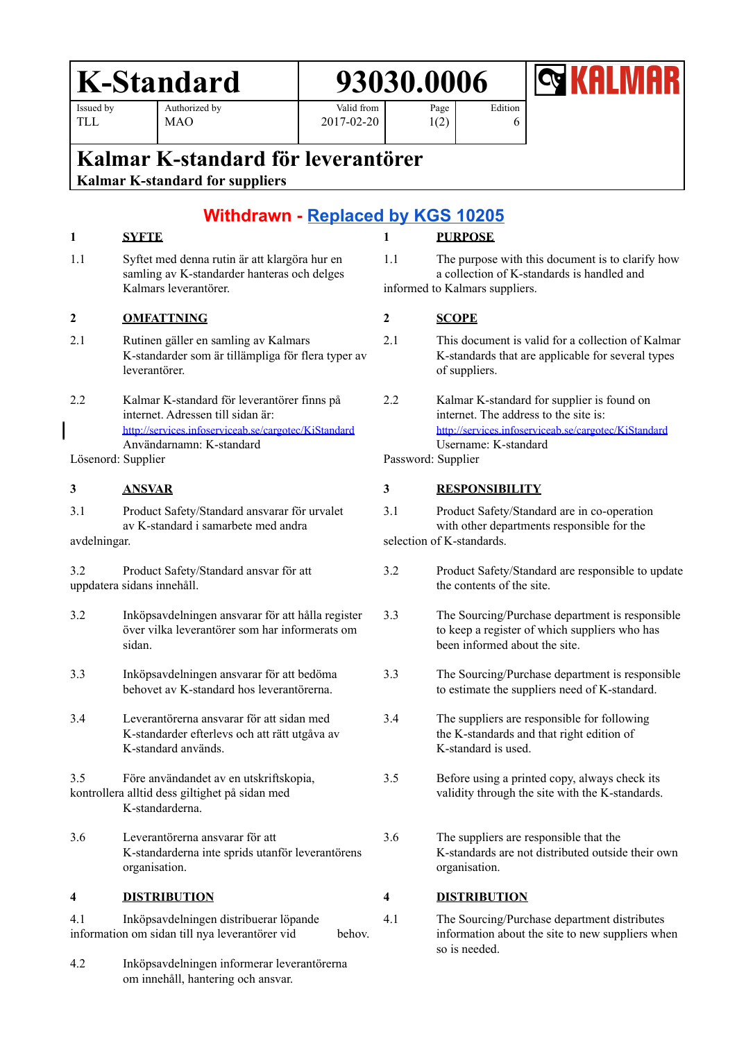# **K-Standard 93030.0006**

Issued by TLL

Authorized by MAO

Page 1(2) Edition

6



## **Kalmar K-standard för leverantörer**

**Kalmar K-standard for suppliers**

## **Withdrawn - [Replaced](https://aodocs.altirnao.com/?locale=fi_FI&aodocs-domain=cargotec.com#Menu_viewDoc/LibraryId_QpefDGn6k2O3AxT6Vx/ViewId_SCqHCUF0QC9aGT6gOk/DocumentId_ScMhFBz71nlO4txLwE/ViewParams_%7B%22searchInSubFolders%22:false,%22userFilters%22:%5B%7B%22property%22:%22QpefIzFySOegOH5nTN%22,%22operator%22:%22EQUAL%22,%22values%22:%5B%22SCpPDUa000000rS3Dy%22%5D%7D%5D%7D) by KGS 10205**

Valid from 2017-02-20

### **1 SYFTE**

1.1 Syftet med denna rutin är att klargöra hur en samling av K-standarder hanteras och delges Kalmars leverantörer.

### **2 OMFATTNING**

- 2.1 Rutinen gäller en samling av Kalmars K-standarder som är tillämpliga för flera typer av leverantörer.
- 2.2 Kalmar K-standard för leverantörer finns på internet. Adressen till sidan är: <http://services.infoserviceab.se/cargotec/KiStandard> Användarnamn: K-standard

Lösenord: Supplier

#### **3 ANSVAR**

3.1 Product Safety/Standard ansvarar för urvalet av K-standard i samarbete med andra avdelningar.

3.2 Product Safety/Standard ansvar för att uppdatera sidans innehåll.

- 3.2 Inköpsavdelningen ansvarar för att hålla register över vilka leverantörer som har informerats om sidan.
- 3.3 Inköpsavdelningen ansvarar för att bedöma behovet av K-standard hos leverantörerna.
- 3.4 Leverantörerna ansvarar för att sidan med K-standarder efterlevs och att rätt utgåva av K-standard används.

3.5 Före användandet av en utskriftskopia, kontrollera alltid dess giltighet på sidan med K-standarderna.

3.6 Leverantörerna ansvarar för att K-standarderna inte sprids utanför leverantörens organisation.

#### **4 DISTRIBUTION**

- 4.1 Inköpsavdelningen distribuerar löpande information om sidan till nya leverantörer vid behov.
- 4.2 Inköpsavdelningen informerar leverantörerna om innehåll, hantering och ansvar.

1.1 The purpose with this document is to clarify how a collection of K-standards is handled and

#### **2 SCOPE**

- 2.1 This document is valid for a collection of Kalmar K-standards that are applicable for several types of suppliers.
- 2.2 Kalmar K-standard for supplier is found on internet. The address to the site is: <http://services.infoserviceab.se/cargotec/KiStandard> Username: K-standard

Password: Supplier

### **3 RESPONSIBILITY**

3.1 Product Safety/Standard are in co-operation with other departments responsible for the selection of K-standards.

- 3.2 Product Safety/Standard are responsible to update the contents of the site.
- 3.3 The Sourcing/Purchase department is responsible to keep a register of which suppliers who has been informed about the site.
- 3.3 The Sourcing/Purchase department is responsible to estimate the suppliers need of K-standard.
- 3.4 The suppliers are responsible for following the K-standards and that right edition of K-standard is used.
- 3.5 Before using a printed copy, always check its validity through the site with the K-standards.
- 3.6 The suppliers are responsible that the K-standards are not distributed outside their own organisation.

### **4 DISTRIBUTION**

4.1 The Sourcing/Purchase department distributes information about the site to new suppliers when so is needed.

**1 PURPOSE**

informed to Kalmars suppliers.